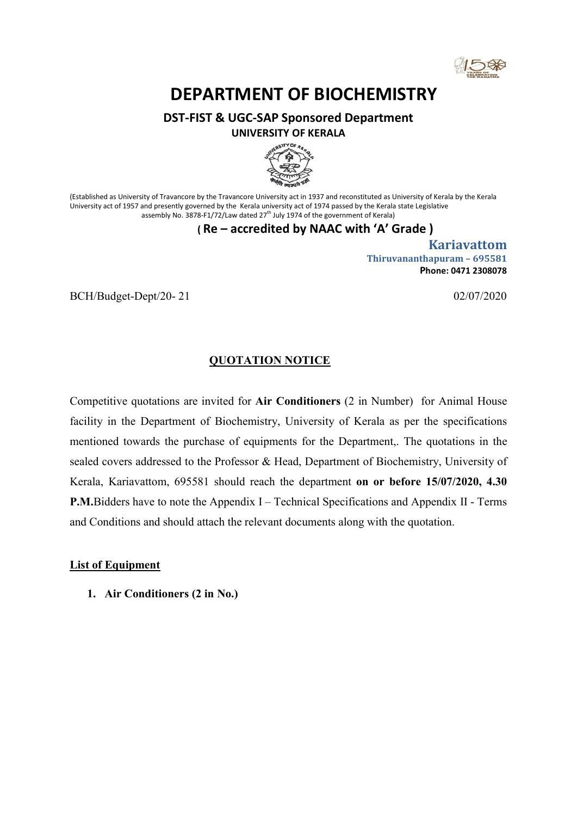

# DEPARTMENT OF BIOCHEMISTRY

DST-FIST & UGC-SAP Sponsored Department





(Established as University of Travancore by the Travancore University act in 1937 and reconstituted as University of Kerala by the Kerala University act of 1957 and presently governed by the Kerala university act of 1974 passed by the Kerala state Legislative assembly No. 3878-F1/72/Law dated 27<sup>th</sup> July 1974 of the government of Kerala)

## ( Re – accredited by NAAC with 'A' Grade )

 Kariavattom Thiruvananthapuram – 695581 Phone: 0471 2308078

BCH/Budget-Dept/20- 21 02/07/2020

# QUOTATION NOTICE

Competitive quotations are invited for Air Conditioners (2 in Number) for Animal House facility in the Department of Biochemistry, University of Kerala as per the specifications mentioned towards the purchase of equipments for the Department,. The quotations in the sealed covers addressed to the Professor & Head, Department of Biochemistry, University of Kerala, Kariavattom, 695581 should reach the department on or before 15/07/2020, 4.30 P.M.Bidders have to note the Appendix I – Technical Specifications and Appendix II - Terms and Conditions and should attach the relevant documents along with the quotation.

#### List of Equipment

1. Air Conditioners (2 in No.)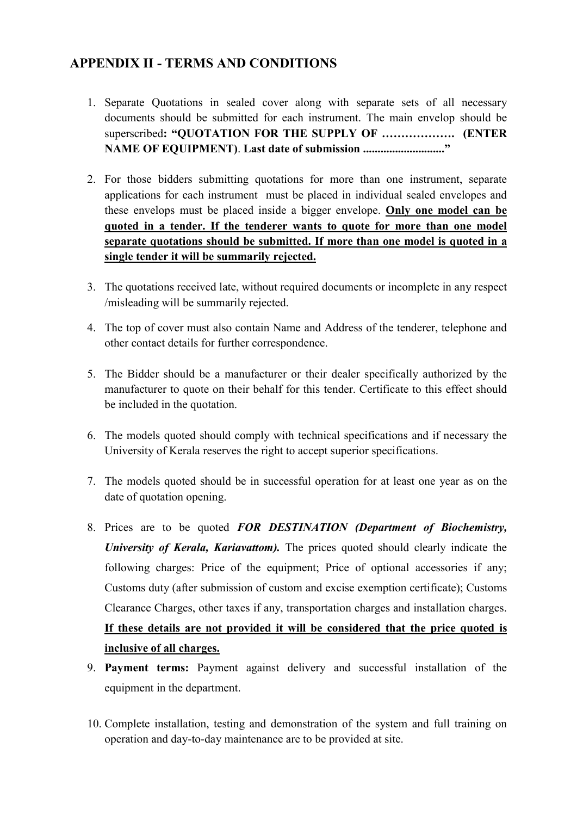# APPENDIX II - TERMS AND CONDITIONS

- 1. Separate Quotations in sealed cover along with separate sets of all necessary documents should be submitted for each instrument. The main envelop should be superscribed: "OUOTATION FOR THE SUPPLY OF ..................... (ENTER NAME OF EQUIPMENT). Last date of submission ............................"
- 2. For those bidders submitting quotations for more than one instrument, separate applications for each instrument must be placed in individual sealed envelopes and these envelops must be placed inside a bigger envelope. Only one model can be quoted in a tender. If the tenderer wants to quote for more than one model separate quotations should be submitted. If more than one model is quoted in a single tender it will be summarily rejected.
- 3. The quotations received late, without required documents or incomplete in any respect /misleading will be summarily rejected.
- 4. The top of cover must also contain Name and Address of the tenderer, telephone and other contact details for further correspondence.
- 5. The Bidder should be a manufacturer or their dealer specifically authorized by the manufacturer to quote on their behalf for this tender. Certificate to this effect should be included in the quotation.
- 6. The models quoted should comply with technical specifications and if necessary the University of Kerala reserves the right to accept superior specifications.
- 7. The models quoted should be in successful operation for at least one year as on the date of quotation opening.
- 8. Prices are to be quoted FOR DESTINATION (Department of Biochemistry, University of Kerala, Kariavattom). The prices quoted should clearly indicate the following charges: Price of the equipment; Price of optional accessories if any; Customs duty (after submission of custom and excise exemption certificate); Customs Clearance Charges, other taxes if any, transportation charges and installation charges. If these details are not provided it will be considered that the price quoted is inclusive of all charges.
- 9. Payment terms: Payment against delivery and successful installation of the equipment in the department.
- 10. Complete installation, testing and demonstration of the system and full training on operation and day-to-day maintenance are to be provided at site.